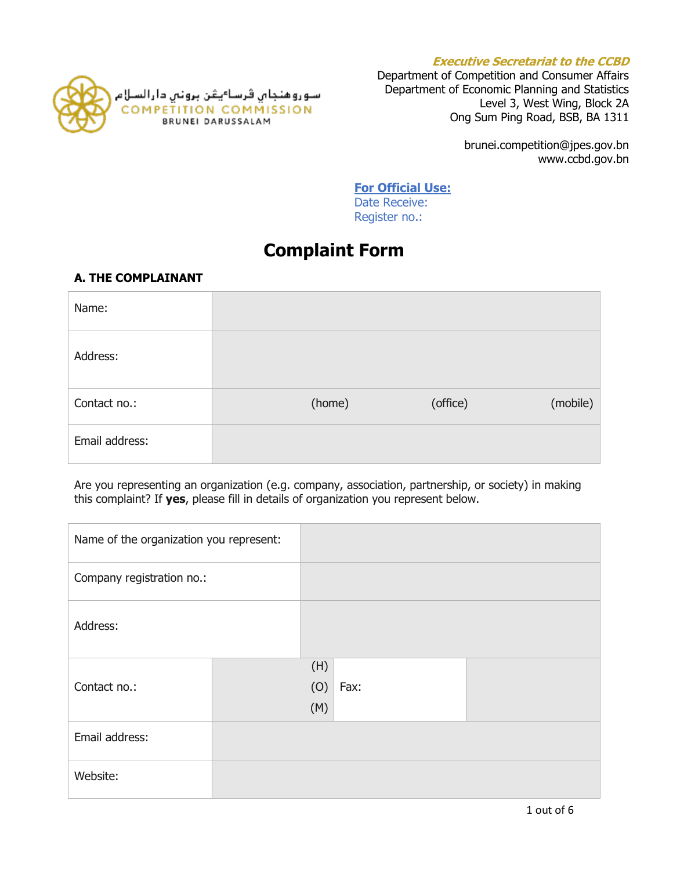



Department of Competition and Consumer Affairs Department of Economic Planning and Statistics Level 3, West Wing, Block 2A Ong Sum Ping Road, BSB, BA 1311

> brunei.competition@jpes.gov.bn www.ccbd.gov.bn

**For Official Use:**

Date Receive: Register no.:

# **Complaint Form**

# **A. THE COMPLAINANT**

| Name:          |        |          |          |
|----------------|--------|----------|----------|
| Address:       |        |          |          |
| Contact no.:   | (home) | (office) | (mobile) |
| Email address: |        |          |          |

Are you representing an organization (e.g. company, association, partnership, or society) in making this complaint? If **yes**, please fill in details of organization you represent below.

| Name of the organization you represent: |  |                   |      |  |
|-----------------------------------------|--|-------------------|------|--|
| Company registration no.:               |  |                   |      |  |
| Address:                                |  |                   |      |  |
| Contact no.:                            |  | (H)<br>(0)<br>(M) | Fax: |  |
| Email address:                          |  |                   |      |  |
| Website:                                |  |                   |      |  |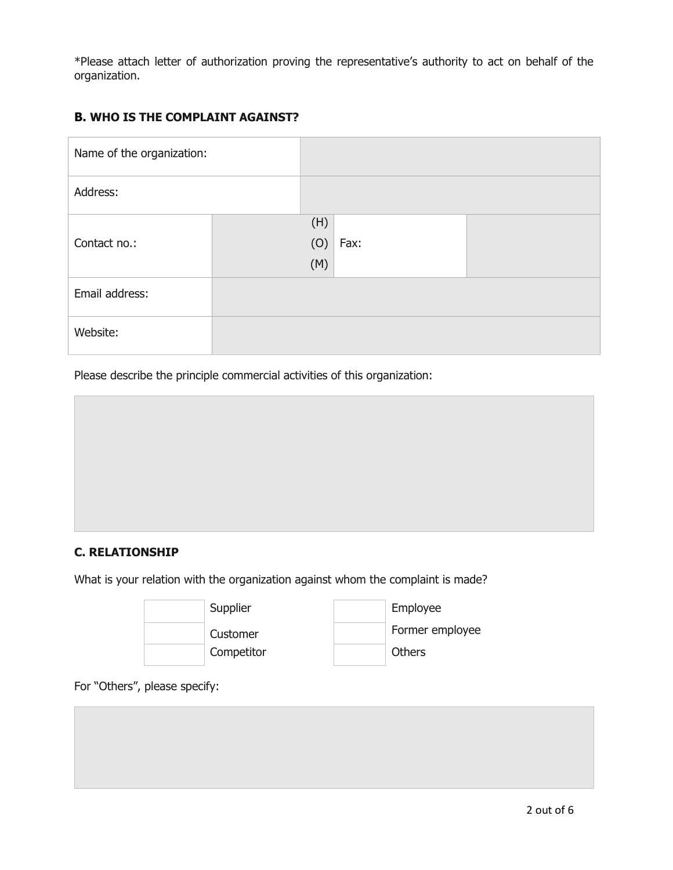\*Please attach letter of authorization proving the representative's authority to act on behalf of the organization.

# **B. WHO IS THE COMPLAINT AGAINST?**

| Name of the organization: |     |      |  |
|---------------------------|-----|------|--|
| Address:                  |     |      |  |
|                           | (H) |      |  |
| Contact no.:              | (O) | Fax: |  |
|                           | (M) |      |  |
| Email address:            |     |      |  |
| Website:                  |     |      |  |

Please describe the principle commercial activities of this organization:

## **C. RELATIONSHIP**

What is your relation with the organization against whom the complaint is made?



For "Others", please specify: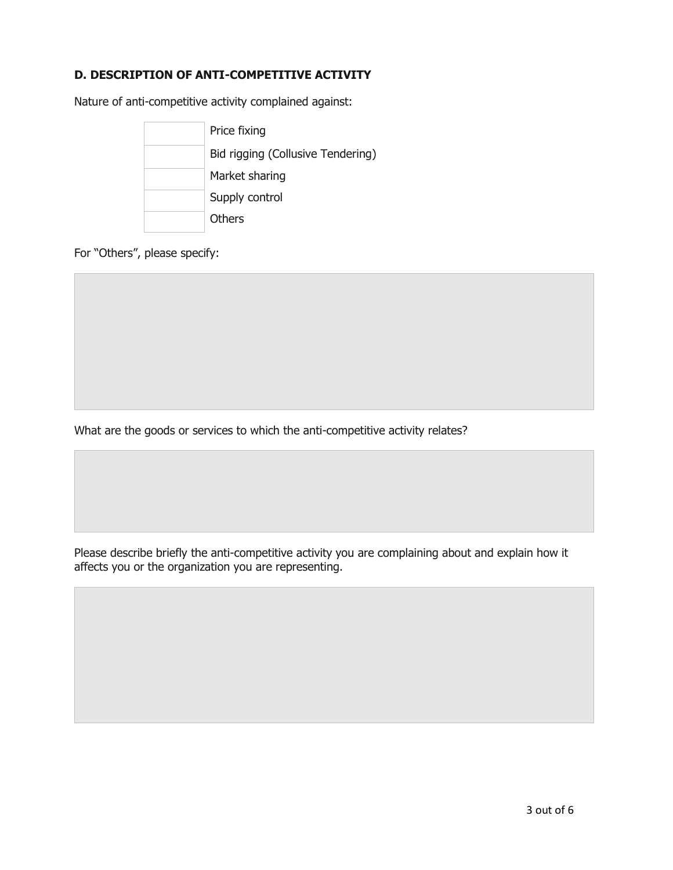## **D. DESCRIPTION OF ANTI-COMPETITIVE ACTIVITY**

Nature of anti-competitive activity complained against:



For "Others", please specify:

What are the goods or services to which the anti-competitive activity relates?

Please describe briefly the anti-competitive activity you are complaining about and explain how it affects you or the organization you are representing.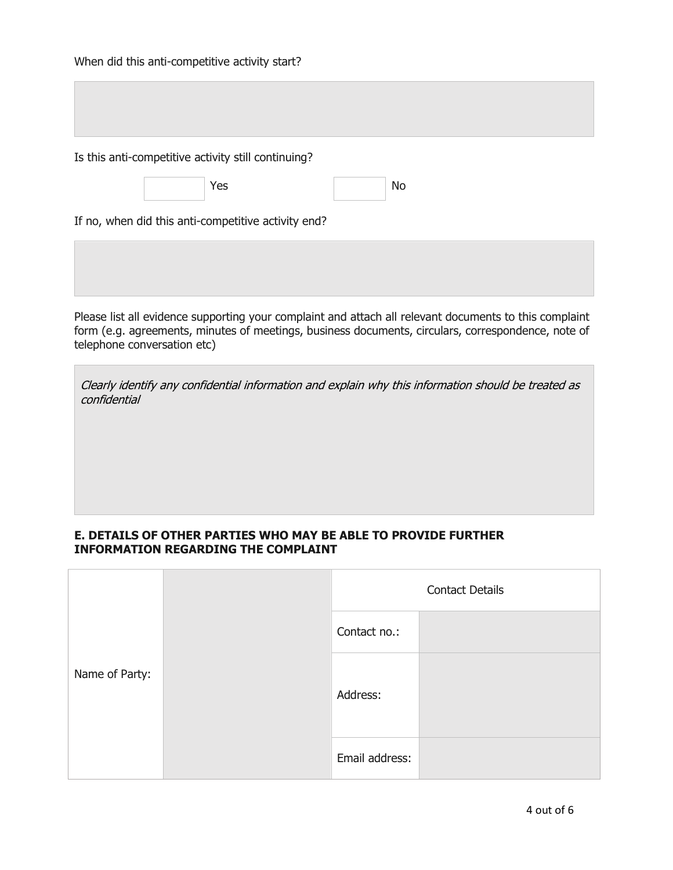Is this anti-competitive activity still continuing?

Yes No

If no, when did this anti-competitive activity end?

Please list all evidence supporting your complaint and attach all relevant documents to this complaint form (e.g. agreements, minutes of meetings, business documents, circulars, correspondence, note of telephone conversation etc)

Clearly identify any confidential information and explain why this information should be treated as confidential

### **E. DETAILS OF OTHER PARTIES WHO MAY BE ABLE TO PROVIDE FURTHER INFORMATION REGARDING THE COMPLAINT**

|                | <b>Contact Details</b> |  |
|----------------|------------------------|--|
|                | Contact no.:           |  |
| Name of Party: | Address:               |  |
|                | Email address:         |  |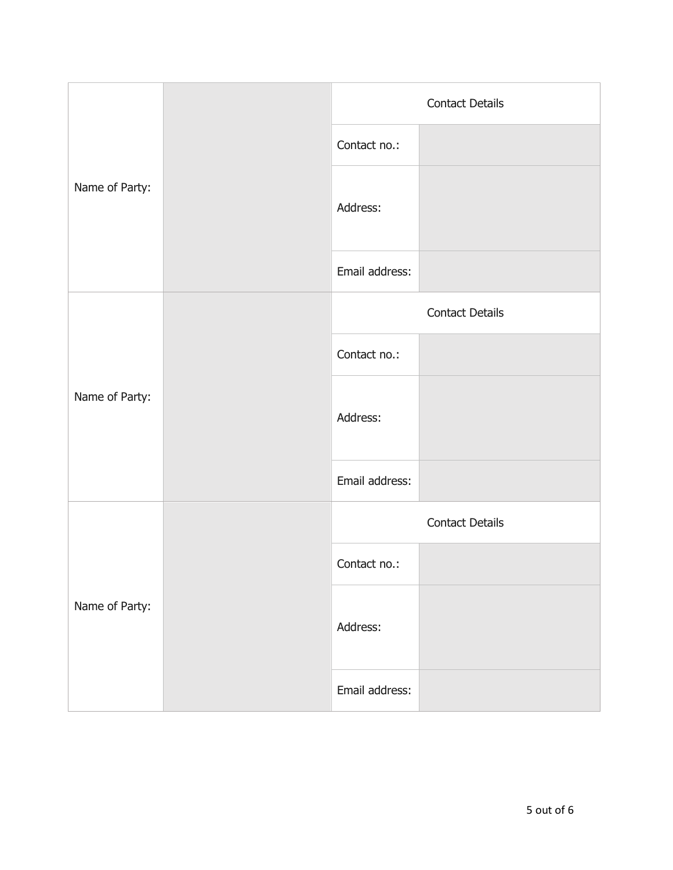| Name of Party: |  | <b>Contact Details</b> |                        |  |
|----------------|--|------------------------|------------------------|--|
|                |  | Contact no.:           |                        |  |
|                |  | Address:               |                        |  |
|                |  | Email address:         |                        |  |
|                |  | <b>Contact Details</b> |                        |  |
|                |  | Contact no.:           |                        |  |
| Name of Party: |  | Address:               |                        |  |
|                |  | Email address:         |                        |  |
| Name of Party: |  |                        | <b>Contact Details</b> |  |
|                |  | Contact no.:           |                        |  |
|                |  | Address:               |                        |  |
|                |  | Email address:         |                        |  |